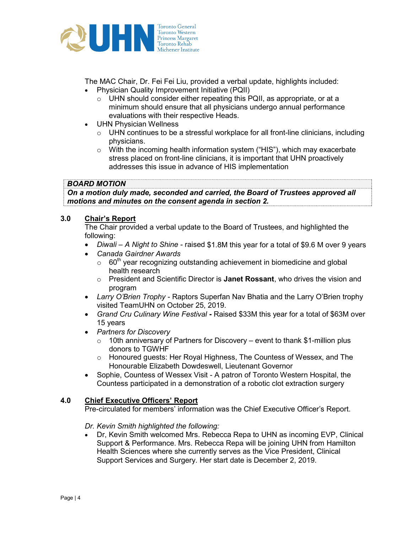

The MAC Chair, Dr. Fei Fei Liu, provided a verbal update, highlights included: Physician Quality Improvement Initiative (PQII)

- o UHN should consider either repeating this PQII, as appropriate, or at a minimum should ensure that all physicians undergo annual performance evaluations with their respective Heads.
- UHN Physician Wellness
	- $\circ$  UHN continues to be a stressful workplace for all front-line clinicians, including physicians.
	- $\circ$  With the incoming health information system ("HIS"), which may exacerbate stress placed on front-line clinicians, it is important that UHN proactively addresses this issue in advance of HIS implementation

### BOARD MOTION

On a motion duly made, seconded and carried, the Board of Trustees approved all motions and minutes on the consent agenda in section 2.

# 3.0 Chair's Report

The Chair provided a verbal update to the Board of Trustees, and highlighted the following:

- Diwali A Night to Shine raised \$1.8M this year for a total of \$9.6 M over 9 years
- Canada Gairdner Awards
	- $\circ$  60<sup>th</sup> year recognizing outstanding achievement in biomedicine and global health research
	- $\circ$  President and Scientific Director is Janet Rossant, who drives the vision and program
- Larry O'Brien Trophy Raptors Superfan Nav Bhatia and the Larry O'Brien trophy visited TeamUHN on October 25, 2019.
- Grand Cru Culinary Wine Festival Raised \$33M this year for a total of \$63M over 15 years
- Partners for Discovery
	- $\circ$  10th anniversary of Partners for Discovery event to thank \$1-million plus donors to TGWHF
	- o Honoured guests: Her Royal Highness, The Countess of Wessex, and The Honourable Elizabeth Dowdeswell, Lieutenant Governor
- Sophie, Countess of Wessex Visit A patron of Toronto Western Hospital, the Countess participated in a demonstration of a robotic clot extraction surgery

### 4.0 Chief Executive Officers' Report

Pre-circulated for members' information was the Chief Executive Officer's Report.

### Dr. Kevin Smith highlighted the following:

 Dr, Kevin Smith welcomed Mrs. Rebecca Repa to UHN as incoming EVP, Clinical Support & Performance. Mrs. Rebecca Repa will be joining UHN from Hamilton Health Sciences where she currently serves as the Vice President, Clinical Support Services and Surgery. Her start date is December 2, 2019.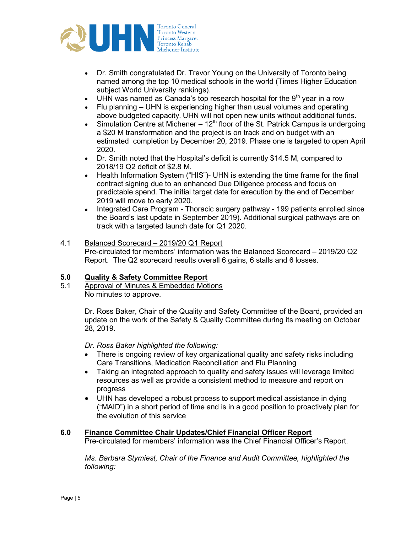

- Dr. Smith congratulated Dr. Trevor Young on the University of Toronto being named among the top 10 medical schools in the world (Times Higher Education subject World University rankings).
- UHN was named as Canada's top research hospital for the  $9<sup>th</sup>$  year in a row
- Flu planning UHN is experiencing higher than usual volumes and operating above budgeted capacity. UHN will not open new units without additional funds.
- Simulation Centre at Michener  $12<sup>th</sup>$  floor of the St. Patrick Campus is undergoing a \$20 M transformation and the project is on track and on budget with an estimated completion by December 20, 2019. Phase one is targeted to open April 2020.
- Dr. Smith noted that the Hospital's deficit is currently \$14.5 M, compared to 2018/19 Q2 deficit of \$2.8 M.
- Health Information System ("HIS")- UHN is extending the time frame for the final contract signing due to an enhanced Due Diligence process and focus on predictable spend. The initial target date for execution by the end of December 2019 will move to early 2020.
- Integrated Care Program Thoracic surgery pathway 199 patients enrolled since the Board's last update in September 2019). Additional surgical pathways are on track with a targeted launch date for Q1 2020.
- 4.1 Balanced Scorecard 2019/20 Q1 Report Pre-circulated for members' information was the Balanced Scorecard – 2019/20 Q2 Report. The Q2 scorecard results overall 6 gains, 6 stalls and 6 losses.

## 5.0 Quality & Safety Committee Report

5.1 Approval of Minutes & Embedded Motions No minutes to approve.

> Dr. Ross Baker, Chair of the Quality and Safety Committee of the Board, provided an update on the work of the Safety & Quality Committee during its meeting on October 28, 2019.

Dr. Ross Baker highlighted the following:

- There is ongoing review of key organizational quality and safety risks including Care Transitions, Medication Reconciliation and Flu Planning
- Taking an integrated approach to quality and safety issues will leverage limited resources as well as provide a consistent method to measure and report on progress
- UHN has developed a robust process to support medical assistance in dying ("MAID") in a short period of time and is in a good position to proactively plan for the evolution of this service

### 6.0 Finance Committee Chair Updates/Chief Financial Officer Report

Pre-circulated for members' information was the Chief Financial Officer's Report.

Ms. Barbara Stymiest, Chair of the Finance and Audit Committee, highlighted the following: